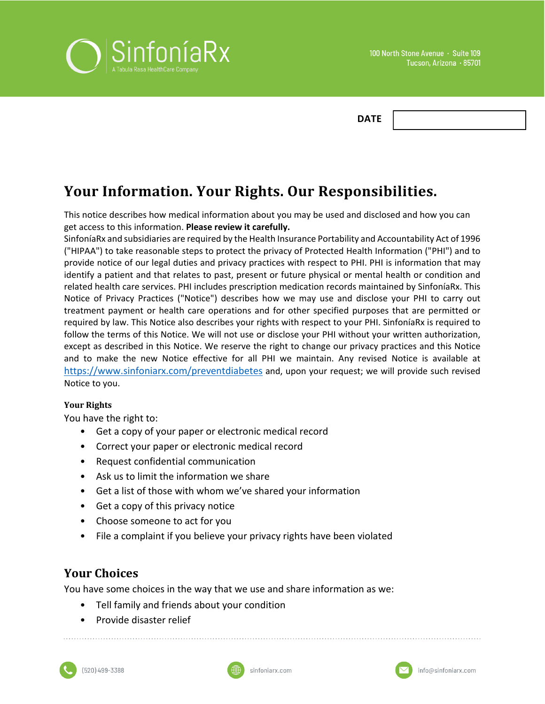

**DATE**

# **Your Information. Your Rights. Our Responsibilities.**

This notice describes how medical information about you may be used and disclosed and how you can get access to this information. **Please review it carefully.**

SinfoníaRx and subsidiaries are required by the Health Insurance Portability and Accountability Act of 1996 ("HIPAA") to take reasonable steps to protect the privacy of Protected Health Information ("PHI") and to provide notice of our legal duties and privacy practices with respect to PHI. PHI is information that may identify a patient and that relates to past, present or future physical or mental health or condition and related health care services. PHI includes prescription medication records maintained by SinfoníaRx. This Notice of Privacy Practices ("Notice") describes how we may use and disclose your PHI to carry out treatment payment or health care operations and for other specified purposes that are permitted or required by law. This Notice also describes your rights with respect to your PHI. SinfoníaRx is required to follow the terms of this Notice. We will not use or disclose your PHI without your written authorization, except as described in this Notice. We reserve the right to change our privacy practices and this Notice and to make the new Notice effective for all PHI we maintain. Any revised Notice is available at <https://www.sinfoniarx.com/preventdiabetes> and, upon your request; we will provide such revised Notice to you.

#### **Your Rights**

You have the right to:

- Get a copy of your paper or electronic medical record
- Correct your paper or electronic medical record
- Request confidential communication
- Ask us to limit the information we share
- Get a list of those with whom we've shared your information
- Get a copy of this privacy notice
- Choose someone to act for you
- File a complaint if you believe your privacy rights have been violated

## **Your Choices**

You have some choices in the way that we use and share information as we:

- Tell family and friends about your condition
- Provide disaster relief





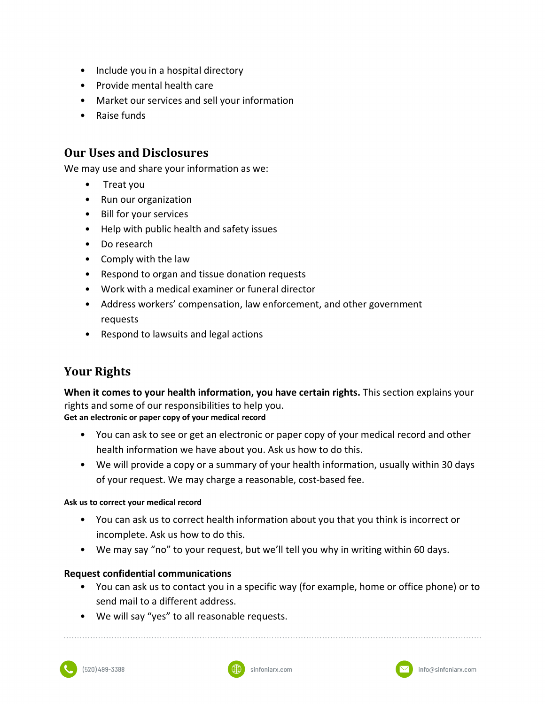- Include you in a hospital directory
- Provide mental health care
- Market our services and sell your information
- Raise funds

## **Our Uses and Disclosures**

We may use and share your information as we:

- Treat you
- Run our organization
- Bill for your services
- Help with public health and safety issues
- Do research
- Comply with the law
- Respond to organ and tissue donation requests
- Work with a medical examiner or funeral director
- Address workers' compensation, law enforcement, and other government requests
- Respond to lawsuits and legal actions

## **Your Rights**

**When it comes to your health information, you have certain rights.** This section explains your rights and some of our responsibilities to help you. **Get an electronic or paper copy of your medical record** 

• You can ask to see or get an electronic or paper copy of your medical record and other

- health information we have about you. Ask us how to do this.
- We will provide a copy or a summary of your health information, usually within 30 days of your request. We may charge a reasonable, cost-based fee.

#### **Ask us to correct your medical record**

- You can ask us to correct health information about you that you think is incorrect or incomplete. Ask us how to do this.
- We may say "no" to your request, but we'll tell you why in writing within 60 days.

## **Request confidential communications**

- You can ask us to contact you in a specific way (for example, home or office phone) or to send mail to a different address.
- We will say "yes" to all reasonable requests.



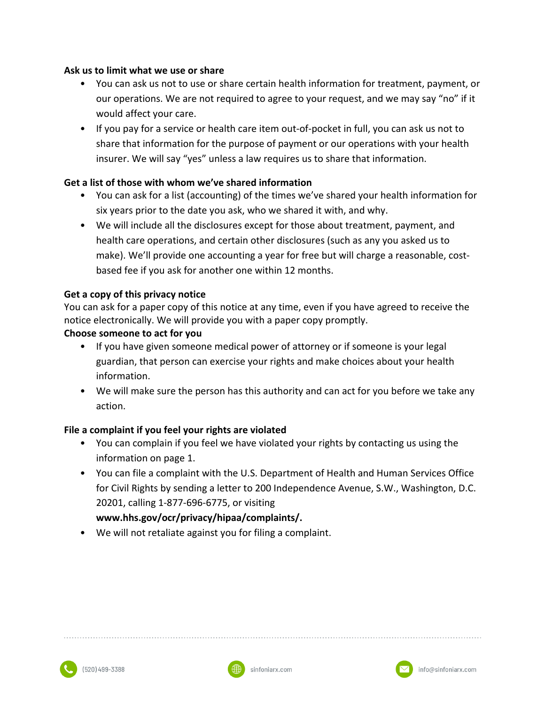### **Ask us to limit what we use or share**

- You can ask us not to use or share certain health information for treatment, payment, or our operations. We are not required to agree to your request, and we may say "no" if it would affect your care.
- If you pay for a service or health care item out-of-pocket in full, you can ask us not to share that information for the purpose of payment or our operations with your health insurer. We will say "yes" unless a law requires us to share that information.

## **Get a list of those with whom we've shared information**

- You can ask for a list (accounting) of the times we've shared your health information for six years prior to the date you ask, who we shared it with, and why.
- We will include all the disclosures except for those about treatment, payment, and health care operations, and certain other disclosures (such as any you asked us to make). We'll provide one accounting a year for free but will charge a reasonable, costbased fee if you ask for another one within 12 months.

## **Get a copy of this privacy notice**

You can ask for a paper copy of this notice at any time, even if you have agreed to receive the notice electronically. We will provide you with a paper copy promptly.

### **Choose someone to act for you**

- If you have given someone medical power of attorney or if someone is your legal guardian, that person can exercise your rights and make choices about your health information.
- We will make sure the person has this authority and can act for you before we take any action.

## **File a complaint if you feel your rights are violated**

- You can complain if you feel we have violated your rights by contacting us using the information on page 1.
- You can file a complaint with the U.S. Department of Health and Human Services Office for Civil Rights by sending a letter to 200 Independence Avenue, S.W., Washington, D.C. 20201, calling 1-877-696-6775, or visiting

**www.hhs.gov/ocr/privacy/hipaa/complaints/.**

• We will not retaliate against you for filing a complaint.

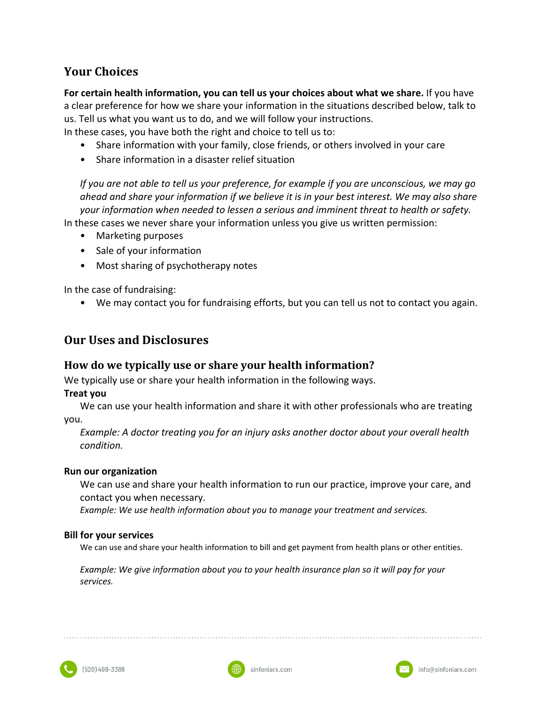## **Your Choices**

**For certain health information, you can tell us your choices about what we share.** If you have a clear preference for how we share your information in the situations described below, talk to us. Tell us what you want us to do, and we will follow your instructions.

In these cases, you have both the right and choice to tell us to:

- Share information with your family, close friends, or others involved in your care
- Share information in a disaster relief situation

*If you are not able to tell us your preference, for example if you are unconscious, we may go ahead and share your information if we believe it is in your best interest. We may also share your information when needed to lessen a serious and imminent threat to health or safety.* In these cases we never share your information unless you give us written permission:

- Marketing purposes
- Sale of your information
- Most sharing of psychotherapy notes

In the case of fundraising:

• We may contact you for fundraising efforts, but you can tell us not to contact you again.

## **Our Uses and Disclosures**

## **How do we typically use or share your health information?**

We typically use or share your health information in the following ways.

## **Treat you**

We can use your health information and share it with other professionals who are treating you.

*Example: A doctor treating you for an injury asks another doctor about your overall health condition.*

#### **Run our organization**

We can use and share your health information to run our practice, improve your care, and contact you when necessary.

*Example: We use health information about you to manage your treatment and services.* 

## **Bill for your services**

We can use and share your health information to bill and get payment from health plans or other entities.

*Example: We give information about you to your health insurance plan so it will pay for your services.* 

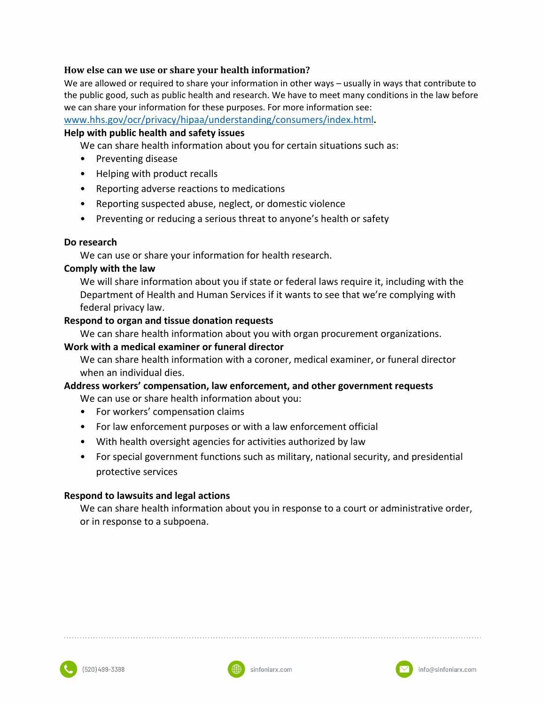#### **How else can we use or share your health information?**

We are allowed or required to share your information in other ways – usually in ways that contribute to the public good, such as public health and research. We have to meet many conditions in the law before we can share your information for these purposes. For more information see:

[www.hhs.gov/ocr/privacy/hipaa/understanding/consumers/index.html](http://www.hhs.gov/ocr/privacy/hipaa/understanding/consumers/index.html)**.** 

#### **Help with public health and safety issues**

We can share health information about you for certain situations such as:

- Preventing disease
- Helping with product recalls
- Reporting adverse reactions to medications
- Reporting suspected abuse, neglect, or domestic violence
- Preventing or reducing a serious threat to anyone's health or safety

#### **Do research**

We can use or share your information for health research.

#### **Comply with the law**

We will share information about you if state or federal laws require it, including with the Department of Health and Human Services if it wants to see that we're complying with federal privacy law.

#### **Respond to organ and tissue donation requests**

We can share health information about you with organ procurement organizations.

#### **Work with a medical examiner or funeral director**

We can share health information with a coroner, medical examiner, or funeral director when an individual dies.

#### **Address workers' compensation, law enforcement, and other government requests**

We can use or share health information about you:

- For workers' compensation claims
- For law enforcement purposes or with a law enforcement official
- With health oversight agencies for activities authorized by law
- For special government functions such as military, national security, and presidential protective services

#### **Respond to lawsuits and legal actions**

We can share health information about you in response to a court or administrative order, or in response to a subpoena.